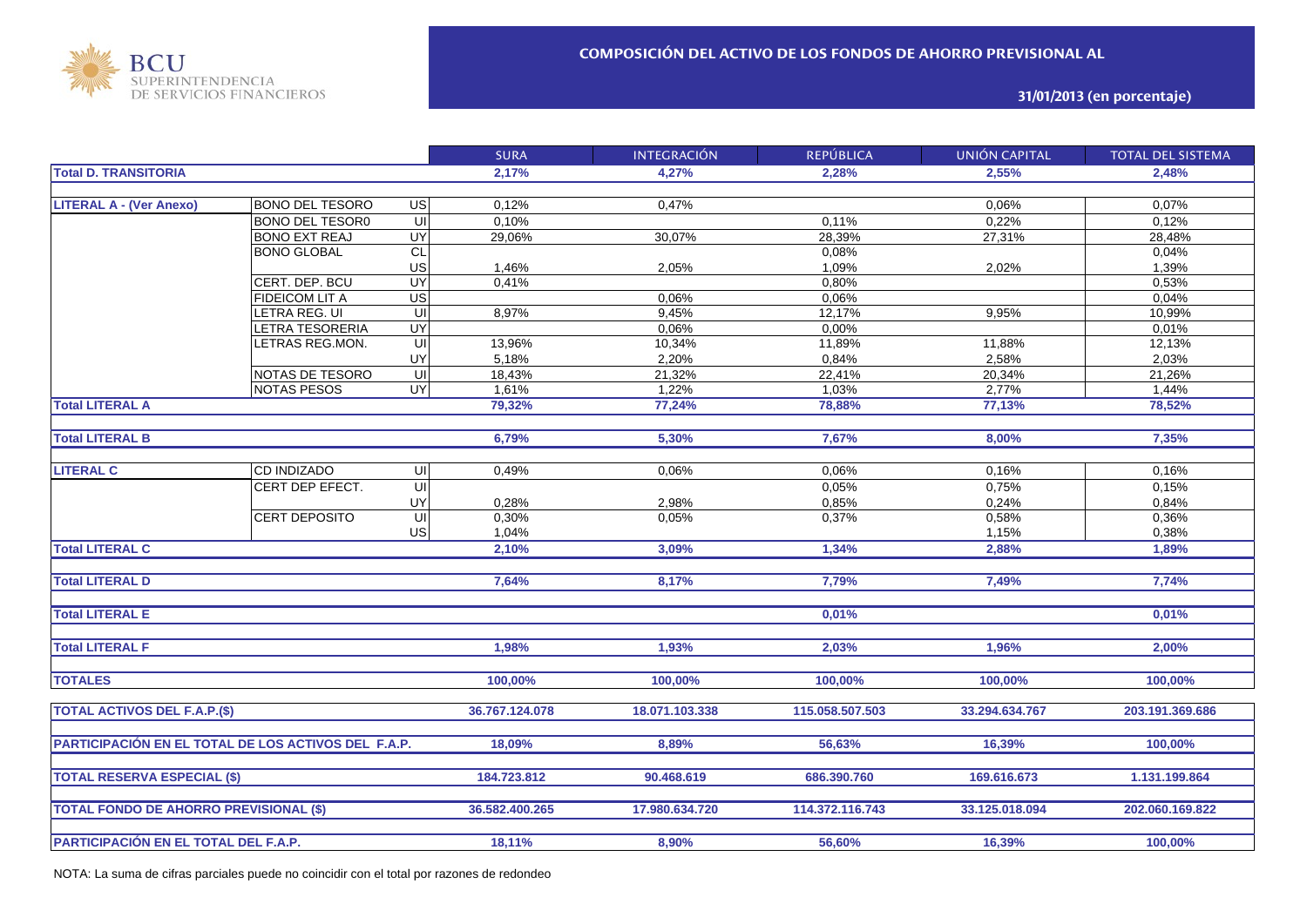

## **31/01/2013 (en porcentaje)**

|                                                     |                        |                         | <b>SURA</b>    | <b>INTEGRACIÓN</b> | <b>REPÚBLICA</b> | UNIÓN CAPITAL  | <b>TOTAL DEL SISTEMA</b> |
|-----------------------------------------------------|------------------------|-------------------------|----------------|--------------------|------------------|----------------|--------------------------|
| <b>Total D. TRANSITORIA</b>                         |                        |                         | 2,17%          | 4.27%              | 2.28%            | 2,55%          | 2.48%                    |
|                                                     |                        |                         |                |                    |                  |                |                          |
| <b>LITERAL A - (Ver Anexo)</b>                      | <b>BONO DEL TESORO</b> | US                      | 0,12%          | 0.47%              |                  | 0,06%          | 0,07%                    |
|                                                     | <b>BONO DEL TESOR0</b> | ਗ                       | 0.10%          |                    | 0.11%            | 0,22%          | 0.12%                    |
|                                                     | <b>BONO EXT REAJ</b>   | UY                      | 29,06%         | 30,07%             | 28,39%           | 27,31%         | 28,48%                   |
|                                                     | <b>BONO GLOBAL</b>     | <b>CL</b>               |                |                    | 0,08%            |                | 0,04%                    |
|                                                     |                        | <b>US</b>               | 1,46%          | 2,05%              | 1,09%            | 2,02%          | 1,39%                    |
|                                                     | CERT. DEP. BCU         | UY                      | 0,41%          |                    | 0,80%            |                | 0,53%                    |
|                                                     | FIDEICOM LIT A         | US                      |                | 0,06%              | 0,06%            |                | 0,04%                    |
|                                                     | LETRA REG. UI          | $\overline{u}$          | 8,97%          | 9,45%              | 12,17%           | 9,95%          | 10,99%                   |
|                                                     | <b>ETRA TESORERIA</b>  | UY                      |                | 0,06%              | 0,00%            |                | 0,01%                    |
|                                                     | ETRAS REG.MON.         | $\overline{\mathsf{u}}$ | 13,96%         | 10,34%             | 11,89%           | 11,88%         | 12,13%                   |
|                                                     |                        | UY                      | 5,18%          | 2,20%              | 0,84%            | 2,58%          | 2,03%                    |
|                                                     | NOTAS DE TESORO        | $\overline{\mathsf{u}}$ | 18,43%         | 21,32%             | 22,41%           | 20,34%         | 21,26%                   |
|                                                     | <b>NOTAS PESOS</b>     | UY                      | 1,61%          | 1,22%              | 1,03%            | 2,77%          | 1,44%                    |
| <b>Total LITERAL A</b>                              |                        |                         | 79,32%         | 77,24%             | 78,88%           | 77,13%         | 78,52%                   |
|                                                     |                        |                         |                |                    |                  |                |                          |
| <b>Total LITERAL B</b>                              |                        |                         | 6,79%          | 5,30%              | 7,67%            | 8,00%          | 7,35%                    |
|                                                     |                        |                         |                |                    |                  |                |                          |
| <b>LITERAL C</b>                                    | CD INDIZADO            | $\subseteq$             | 0,49%          | 0,06%              | 0,06%            | 0,16%          | 0,16%                    |
|                                                     | CERT DEP EFECT.        | $\overline{\mathsf{u}}$ |                |                    | 0,05%            | 0,75%          | 0,15%                    |
|                                                     |                        | UY                      | 0,28%          | 2,98%              | 0,85%            | 0,24%          | 0,84%                    |
|                                                     | <b>CERT DEPOSITO</b>   | $\overline{\mathsf{u}}$ | 0,30%          | 0.05%              | 0,37%            | 0,58%          | 0,36%                    |
|                                                     |                        | US                      | 1,04%          |                    |                  | 1,15%          | 0,38%                    |
| <b>Total LITERAL C</b>                              |                        |                         | 2,10%          | 3,09%              | 1,34%            | 2,88%          | 1,89%                    |
|                                                     |                        |                         |                |                    |                  |                |                          |
| <b>Total LITERAL D</b>                              |                        |                         | 7,64%          | 8,17%              | 7,79%            | 7,49%          | 7,74%                    |
|                                                     |                        |                         |                |                    |                  |                |                          |
| <b>Total LITERAL E</b>                              |                        |                         |                |                    | 0,01%            |                | 0,01%                    |
|                                                     |                        |                         |                |                    |                  |                |                          |
| <b>Total LITERAL F</b>                              |                        |                         | 1,98%          | 1,93%              | 2,03%            | 1,96%          | 2.00%                    |
|                                                     |                        |                         |                |                    |                  |                |                          |
| <b>TOTALES</b>                                      |                        |                         | 100,00%        | 100,00%            | 100,00%          | 100,00%        | 100,00%                  |
| <b>TOTAL ACTIVOS DEL F.A.P.(\$)</b>                 |                        |                         | 36.767.124.078 | 18.071.103.338     | 115.058.507.503  | 33.294.634.767 | 203.191.369.686          |
|                                                     |                        |                         |                |                    |                  |                |                          |
| PARTICIPACIÓN EN EL TOTAL DE LOS ACTIVOS DEL F.A.P. |                        |                         | 18,09%         | 8,89%              | 56,63%           | 16,39%         | 100,00%                  |
|                                                     |                        |                         |                |                    |                  |                |                          |
| <b>TOTAL RESERVA ESPECIAL (\$)</b>                  |                        |                         | 184.723.812    | 90.468.619         | 686.390.760      | 169.616.673    | 1.131.199.864            |
|                                                     |                        |                         |                |                    |                  |                |                          |
| <b>TOTAL FONDO DE AHORRO PREVISIONAL (\$)</b>       |                        |                         | 36.582.400.265 | 17.980.634.720     | 114.372.116.743  | 33.125.018.094 | 202.060.169.822          |
|                                                     |                        |                         |                |                    |                  |                |                          |
| PARTICIPACIÓN EN EL TOTAL DEL F.A.P.                |                        |                         | 18,11%         | 8,90%              | 56,60%           | 16,39%         | 100,00%                  |
|                                                     |                        |                         |                |                    |                  |                |                          |

NOTA: La suma de cifras parciales puede no coincidir con el total por razones de redondeo